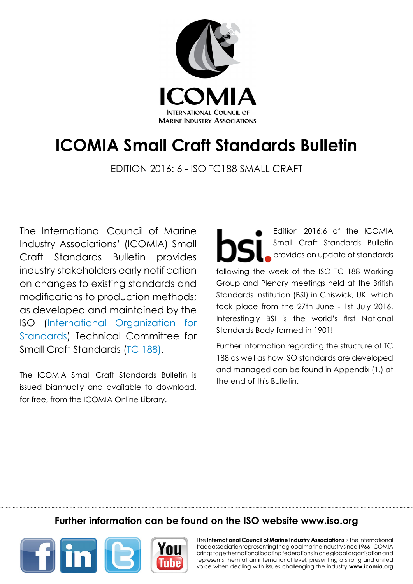

# **ICOMIA Small Craft Standards Bulletin**

Edition 2016: 6 - ISO TC188 Small CRaft

The International Council of Marine Industry Associations' (ICOMIA) Small Craft Standards Bulletin provides industry stakeholders early notification on changes to existing standards and modifications to production methods; as developed and maintained by the ISO [\(International Organization for](http://www.iso.org/) [Standards\)](http://www.iso.org/) Technical Committee for Small Craft Standards ([TC 188](http://www.iso.org/iso/standards_development/technical_committees/other_bodies/iso_technical_committee.htm?commid=54258)).

The ICOMIA Small Craft Standards Bulletin is issued biannually and available to download, for free, from the ICOMIA [Online Library.](http://www.icomia.com/library)

Edition 2016:6 of the ICOMIA Small Craft Standards Bulletin provides an update of standards following the week of the ISO TC 188 Working Group and Plenary meetings held at the British Standards Institution (BSI) in Chiswick, UK which took place from the 27th June - 1st July 2016. Interestingly BSI is the world's first National Standards Body formed in 1901!

Further information regarding the structure of TC 188 as well as how ISO standards are developed and managed can be found in Appendix (1.) at the end of this Bulletin.

# **Further information can be found on the ISO website [www.iso.org](http://www.iso.org/iso/home.html)**



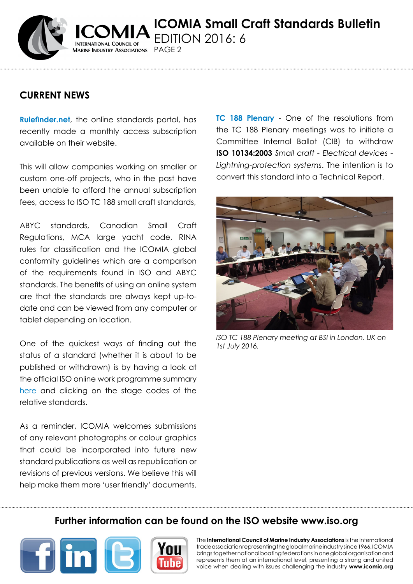

**ICOMIA Small Craft Standards Bulletin** Edition 2016: 6 Marine Industry Associations PAGE 2

## **CURRENT NEWS**

**[Rulefinder.net](http://www.rulefinder.net/)**, the online standards portal, has recently made a monthly access subscription available on their website.

This will allow companies working on smaller or custom one-off projects, who in the past have been unable to afford the annual subscription fees, access to ISO TC 188 small craft standards,

ABYC standards, Canadian Small Craft Regulations, MCA large yacht code, RINA rules for classification and the ICOMIA global conformity guidelines which are a comparison of the requirements found in ISO and ABYC standards. The benefits of using an online system are that the standards are always kept up-todate and can be viewed from any computer or tablet depending on location.

One of the quickest ways of finding out the status of a standard (whether it is about to be published or withdrawn) is by having a look at the official ISO online work programme summary [here](http://www.iso.org/iso/home/store/catalogue_tc/catalogue_tc_browse.htm?commid=54258&development=on) and clicking on the stage codes of the relative standards.

As a reminder, ICOMIA welcomes submissions of any relevant photographs or colour graphics that could be incorporated into future new standard publications as well as republication or revisions of previous versions. We believe this will help make them more 'user friendly' documents. **TC 188 Plenary** - One of the resolutions from the TC 188 Plenary meetings was to initiate a Committee Internal Ballot (CIB) to withdraw **ISO 10134:2003** *Small craft - Electrical devices - Lightning-protection systems*. The intention is to convert this standard into a Technical Report.



*ISO TC 188 Plenary meeting at BSI in London, UK on 1st July 2016.*

## **Further information can be found on the ISO website [www.iso.org](http://www.iso.org/iso/home.html)**



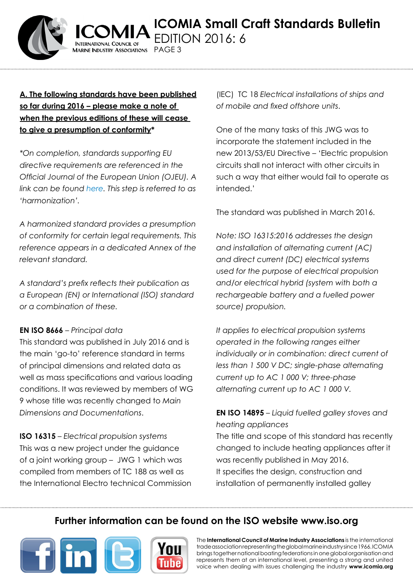

#### **A. The following standards have been published so far during 2016 – please make a note of when the previous editions of these will cease to give a presumption of conformity\***

**ARINE INDUSTRY ASSOCIATIONS** 

PAGF<sub>3</sub>

*\*On completion, standards supporting EU directive requirements are referenced in the Official Journal of the European Union (OJEU). A link can be found [here](http://ec.europa.eu/growth/single-market/european-standards/harmonised-standards/recreational-craft). This step is referred to as 'harmonization'.* 

*A harmonized standard provides a presumption of conformity for certain legal requirements. This reference appears in a dedicated Annex of the relevant standard.*

*A standard's prefix reflects their publication as a European (EN) or International (ISO) standard or a combination of these.*

#### **EN ISO 8666** – *Principal data*

This standard was published in July 2016 and is the main 'go-to' reference standard in terms of principal dimensions and related data as well as mass specifications and various loading conditions. It was reviewed by members of WG 9 whose title was recently changed to *Main Dimensions and Documentations*.

**ISO 16315** – *Electrical propulsion systems*  This was a new project under the guidance of a joint working group – JWG 1 which was compiled from members of TC 188 as well as the International Electro technical Commission (IEC) TC 18 *Electrical installations of ships and of mobile and fixed offshore units*.

One of the many tasks of this JWG was to incorporate the statement included in the new 2013/53/EU Directive – 'Electric propulsion circuits shall not interact with other circuits in such a way that either would fail to operate as intended.'

The standard was published in March 2016.

*Note: ISO 16315:2016 addresses the design and installation of alternating current (AC) and direct current (DC) electrical systems used for the purpose of electrical propulsion and/or electrical hybrid (system with both a rechargeable battery and a fuelled power source) propulsion.*

*It applies to electrical propulsion systems operated in the following ranges either individually or in combination: direct current of less than 1 500 V DC; single-phase alternating current up to AC 1 000 V; three-phase alternating current up to AC 1 000 V.*

**EN ISO 14895** – *Liquid fuelled galley stoves and heating appliances* The title and scope of this standard has recently changed to include heating appliances after it was recently published in May 2016.

It specifies the design, construction and installation of permanently installed galley

# **Further information can be found on the ISO website [www.iso.org](http://www.iso.org/iso/home.html)**



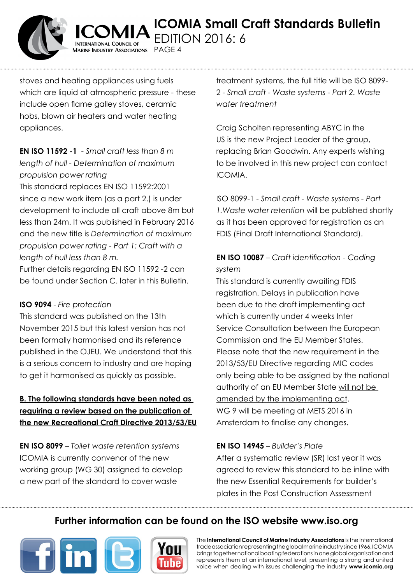

stoves and heating appliances using fuels which are liquid at atmospheric pressure - these include open flame galley stoves, ceramic hobs, blown air heaters and water heating appliances.

ARINE INDUSTRY ASSOCIATIONS PAGE 4

## **EN ISO 11592 -1** - *Small craft less than 8 m length of hull - Determination of maximum propulsion power rating*

This standard replaces EN ISO 11592:2001 since a new work item (as a part 2.) is under development to include all craft above 8m but less than 24m. It was published in February 2016 and the new title is *Determination of maximum propulsion power rating - Part 1: Craft with a length of hull less than 8 m.*

Further details regarding EN ISO 11592 -2 can be found under Section C. later in this Bulletin.

#### **ISO 9094** - *Fire protection*

This standard was published on the 13th November 2015 but this latest version has not been formally harmonised and its reference published in the OJEU. We understand that this is a serious concern to industry and are hoping to get it harmonised as quickly as possible.

## **B. The following standards have been noted as requiring a review based on the publication of the new Recreational Craft Directive 2013/53/EU**

**EN ISO 8099** – *Toilet waste retention systems*  ICOMIA is currently convenor of the new working group (WG 30) assigned to develop a new part of the standard to cover waste

treatment systems, the full title will be ISO 8099- 2 - *Small craft - Waste systems - Part 2. Waste water treatment*

Craig Scholten representing ABYC in the US is the new Project Leader of the group, replacing Brian Goodwin. Any experts wishing to be involved in this new project can contact ICOMIA.

ISO 8099-1 - *Small craft - Waste systems - Part 1.Waste water retention* will be published shortly as it has been approved for registration as an FDIS (Final Draft International Standard).

## **EN ISO 10087** – *Craft identification - Coding system*

This standard is currently awaiting FDIS registration. Delays in publication have been due to the draft implementing act which is currently under 4 weeks Inter Service Consultation between the European Commission and the EU Member States. Please note that the new requirement in the 2013/53/EU Directive regarding MIC codes only being able to be assigned by the national authority of an EU Member State will not be amended by the implementing act. WG 9 will be meeting at METS 2016 in Amsterdam to finalise any changes.

#### **EN ISO 14945** – *Builder's Plate*

After a systematic review (SR) last year it was agreed to review this standard to be inline with the new Essential Requirements for builder's plates in the Post Construction Assessment

# **Further information can be found on the ISO website [www.iso.org](http://www.iso.org/iso/home.html)**



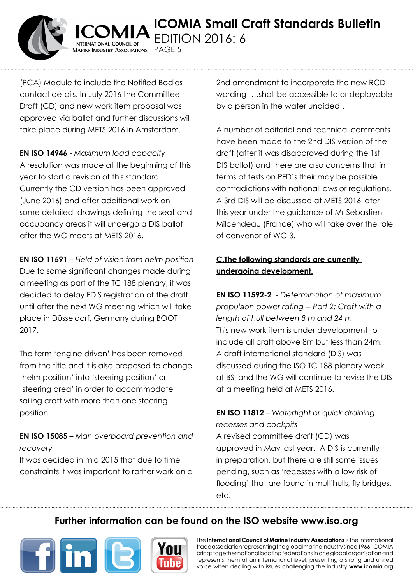

(PCA) Module to include the Notified Bodies contact details. In July 2016 the Committee Draft (CD) and new work item proposal was approved via ballot and further discussions will take place during METS 2016 in Amsterdam.

 $A$ arine Industry Associations  $PAGE5$ 

**EN ISO 14946** - *Maximum load capacity* A resolution was made at the beginning of this year to start a revision of this standard. Currently the CD version has been approved (June 2016) and after additional work on some detailed drawings defining the seat and occupancy areas it will undergo a DIS ballot after the WG meets at METS 2016.

**EN ISO 11591** – *Field of vision from helm position* Due to some significant changes made during a meeting as part of the TC 188 plenary, it was decided to delay FDIS registration of the draft until after the next WG meeting which will take place in Düsseldorf, Germany during BOOT 2017.

The term 'engine driven' has been removed from the title and it is also proposed to change 'helm position' into 'steering position' or 'steering area' in order to accommodate sailing craft with more than one steering position.

**EN ISO 15085** – *Man overboard prevention and recovery* 

It was decided in mid 2015 that due to time constraints it was important to rather work on a 2nd amendment to incorporate the new RCD wording '…shall be accessible to or deployable by a person in the water unaided'.

A number of editorial and technical comments have been made to the 2nd DIS version of the draft (after it was disapproved during the 1st DIS ballot) and there are also concerns that in terms of tests on PFD's their may be possible contradictions with national laws or regulations. A 3rd DIS will be discussed at METS 2016 later this year under the guidance of Mr Sebastien Milcendeau (France) who will take over the role of convenor of WG 3.

## **C.The following standards are currently undergoing development.**

**EN ISO 11592-2** - *Determination of maximum propulsion power rating -- Part 2: Craft with a length of hull between 8 m and 24 m* This new work item is under development to include all craft above 8m but less than 24m. A draft international standard (DIS) was discussed during the ISO TC 188 plenary week at BSI and the WG will continue to revise the DIS at a meeting held at METS 2016.

**EN ISO 11812** – *Watertight or quick draining recesses and cockpits* A revised committee draft (CD) was approved in May last year. A DIS is currently in preparation, but there are still some issues pending, such as 'recesses with a low risk of flooding' that are found in multihulls, fly bridges, etc.

# **Further information can be found on the ISO website [www.iso.org](http://www.iso.org/iso/home.html)**



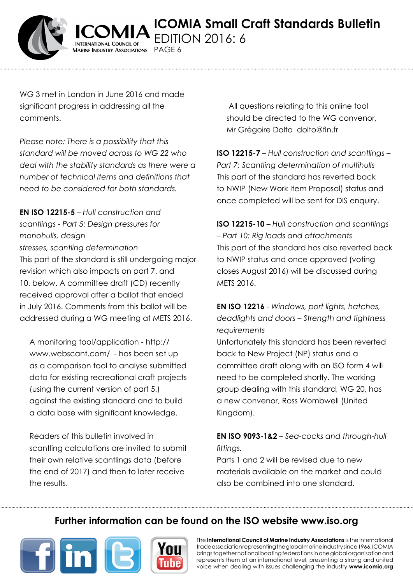

WG 3 met in London in June 2016 and made significant progress in addressing all the comments.

AARINE INDUSTRY ASSOCIATIONS PAGE 6

*Please note: There is a possibility that this standard will be moved across to WG 22 who deal with the stability standards as there were a number of technical items and definitions that need to be considered for both standards.*

**EN ISO 12215-5** – *Hull construction and scantlings - Part 5: Design pressures for monohulls, design*

*stresses, scantling determination*

This part of the standard is still undergoing major revision which also impacts on part 7. and 10. below. A committee draft (CD) recently received approval after a ballot that ended in July 2016. Comments from this ballot will be addressed during a WG meeting at METS 2016.

A monitoring tool/application - http:// www.webscant.com/ - has been set up as a comparison tool to analyse submitted data for existing recreational craft projects (using the current version of part 5.) against the existing standard and to build a data base with significant knowledge.

Readers of this bulletin involved in scantling calculations are invited to submit their own relative scantlings data (before the end of 2017) and then to later receive the results.

All questions relating to this online tool should be directed to the WG convenor, Mr Grégoire Dolto dolto@fin.fr

**ISO 12215-7** – *Hull construction and scantlings – Part 7: Scantling determination of multihulls* This part of the standard has reverted back to NWIP (New Work Item Proposal) status and once completed will be sent for DIS enquiry.

**ISO 12215-10** – *Hull construction and scantlings – Part 10: Rig loads and attachments* This part of the standard has also reverted back to NWIP status and once approved (voting closes August 2016) will be discussed during METS 2016.

**EN ISO 12216** - *Windows, port lights, hatches, deadlights and doors – Strength and tightness requirements*

Unfortunately this standard has been reverted back to New Project (NP) status and a committee draft along with an ISO form 4 will need to be completed shortly. The working group dealing with this standard, WG 20, has a new convenor, Ross Wombwell (United Kingdom).

## **EN ISO 9093-1&2** – *Sea-cocks and through-hull fittings.*

Parts 1 and 2 will be revised due to new materials available on the market and could also be combined into one standard.

# **Further information can be found on the ISO website [www.iso.org](http://www.iso.org/iso/home.html)**



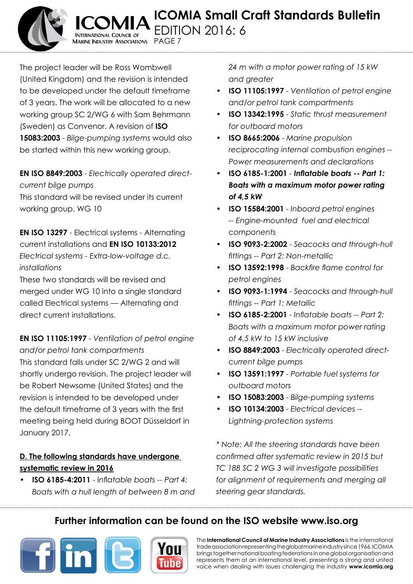

**ICOMIA Small Craft Standards Bulletin** Edition 2016: 6 **TERNATIONAL COUNCIL OF** 

The project leader will be Ross Wombwell (United Kingdom) and the revision is intended to be developed under the default timeframe of 3 years. The work will be allocated to a new working group SC 2/WG 6 with Sam Behrmann (Sweden) as Convenor. A revision of **ISO 15083:2003** - *Bilge-pumping systems* would also be started within this new working group.

**ARINE INDUSTRY ASSOCIATIONS** 

Page 7

**EN ISO 8849:2003** - *Electrically operated directcurrent bilge pumps* This standard will be revised under its current working group, WG 10

**EN ISO 13297** - Electrical systems - Alternating current installations and **EN ISO 10133:2012**  *Electrical systems - Extra-low-voltage d.c. installations*

These two standards will be revised and merged under WG 10 into a single standard called Electrical systems — Alternating and direct current installations.

**EN ISO 11105:1997** - *Ventilation of petrol engine and/or petrol tank compartments*  This standard falls under SC 2/WG 2 and will shortly undergo revision. The project leader will be Robert Newsome (United States) and the revision is intended to be developed under the default timeframe of 3 years with the first meeting being held during BOOT Düsseldorf in January 2017.

## **D. The following standards have undergone systematic review in 2016**

**• ISO 6185-4:2011** - I*nflatable boats -- Part 4: Boats with a hull length of between 8 m and*  *24 m with a motor power rating of 15 kW and greater*

- **• ISO 11105:1997** *Ventilation of petrol engine and/or petrol tank compartments*
- **• ISO 13342:1995** *Static thrust measurement for outboard motors*
- **• ISO 8665:2006** *Marine propulsion reciprocating internal combustion engines -- Power measurements and declarations*
- **• ISO 6185-1:2001** - *Inflatable boats -- Part 1: Boats with a maximum motor power rating of 4,5 kW*
- **• ISO 15584:2001** *Inboard petrol engines -- Engine-mounted fuel and electrical components*
- **• ISO 9093-2:2002** *Seacocks and through-hull fittings -- Part 2: Non-metallic*
- **ISO 13592:1998** Backfire flame control for *petrol engines*
- **• ISO 9093-1:1994**  *Seacocks and through-hull fittings -- Part 1: Metallic*
- **• ISO 6185-2:2001** *Inflatable boats -- Part 2: Boats with a maximum motor power rating of 4,5 kW to 15 kW inclusive*
- **• ISO 8849:2003** *Electrically operated directcurrent bilge pumps*
- **• ISO 13591:1997** *Portable fuel systems for outboard motors*
- **• ISO 15083:2003** *Bilge-pumping systems*
- **ISO 10134:2003** *Electrical devices* --*Lightning-protection systems*

*\* Note: All the steering standards have been confirmed after systematic review in 2015 but TC 188 SC 2 WG 3 will investigate possibilities for alignment of requirements and merging all steering gear standards.*

# **Further information can be found on the ISO website [www.iso.org](http://www.iso.org/iso/home.html)**



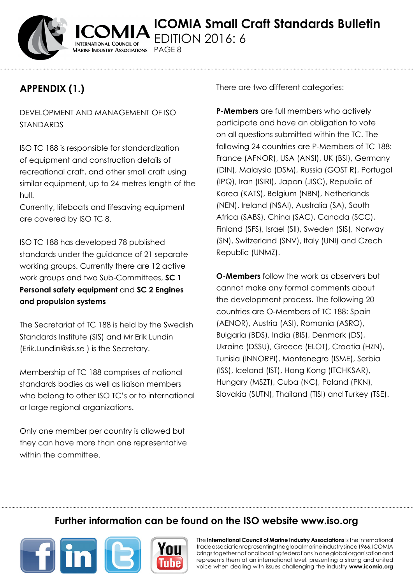

# **Appendix (1.)**

DEVELOPMENT AND MANAGEMENT OF ISO STANDARDS

Marine Industry Associations PAGE 8

ISO TC 188 is responsible for standardization of equipment and construction details of recreational craft, and other small craft using similar equipment, up to 24 metres length of the hull.

Currently, lifeboats and lifesaving equipment are covered by ISO TC 8.

ISO TC 188 has developed 78 published standards under the guidance of 21 separate working groups. Currently there are 12 active work groups and two Sub-Committees, **SC 1 Personal safety equipment** and **SC 2 Engines and propulsion systems**

The Secretariat of TC 188 is held by the Swedish Standards Institute (SIS) and Mr Erik Lundin (Erik.Lundin@sis.se ) is the Secretary.

Membership of TC 188 comprises of national standards bodies as well as liaison members who belong to other ISO TC's or to international or large regional organizations.

Only one member per country is allowed but they can have more than one representative within the committee.

There are two different categories:

**P-Members** are full members who actively participate and have an obligation to vote on all questions submitted within the TC. The following 24 countries are P-Members of TC 188: France (AFNOR), USA (ANSI), UK (BSI), Germany (DIN), Malaysia (DSM), Russia (GOST R), Portugal (IPQ), Iran (ISIRI), Japan (JISC), Republic of Korea (KATS), Belgium (NBN), Netherlands (NEN), Ireland (NSAI), Australia (SA), South Africa (SABS), China (SAC), Canada (SCC), Finland (SFS), Israel (SII), Sweden (SIS), Norway (SN), Switzerland (SNV), Italy (UNI) and Czech Republic (UNMZ).

**O-Members** follow the work as observers but cannot make any formal comments about the development process. The following 20 countries are O-Members of TC 188: Spain (AENOR), Austria (ASI), Romania (ASRO), Bulgaria (BDS), India (BIS), Denmark (DS), Ukraine (DSSU), Greece (ELOT), Croatia (HZN), Tunisia (INNORPI), Montenegro (ISME), Serbia (ISS), Iceland (IST), Hong Kong (ITCHKSAR), Hungary (MSZT), Cuba (NC), Poland (PKN), Slovakia (SUTN), Thailand (TISI) and Turkey (TSE).

## **Further information can be found on the ISO website [www.iso.org](http://www.iso.org/iso/home.html)**



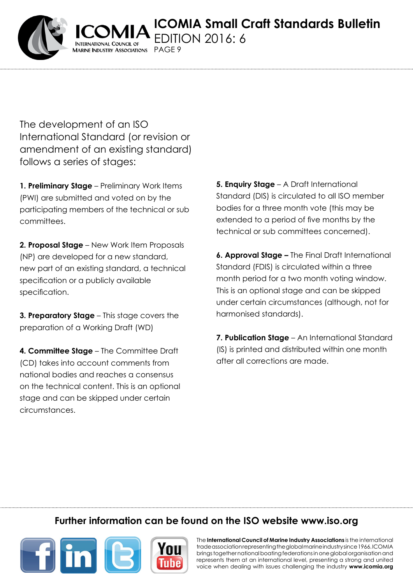**ICOMIA Small Craft Standards Bulletin** DITION 2016: 6

The development of an ISO International Standard (or revision or amendment of an existing standard) follows a series of stages:

ARINE INDUSTRY ASSOCIATIONS

PAGF<sub>9</sub>

1. Preliminary Stage - Preliminary Work Items (PWI) are submitted and voted on by the participating members of the technical or sub committees.

**2. Proposal Stage** – New Work Item Proposals (NP) are developed for a new standard, new part of an existing standard, a technical specification or a publicly available specification.

**3. Preparatory Stage** – This stage covers the preparation of a Working Draft (WD)

**4. Committee Stage** – The Committee Draft (CD) takes into account comments from national bodies and reaches a consensus on the technical content. This is an optional stage and can be skipped under certain circumstances.

**5. Enquiry Stage** – A Draft International Standard (DIS) is circulated to all ISO member bodies for a three month vote (this may be extended to a period of five months by the technical or sub committees concerned).

**6. Approval Stage –** The Final Draft International Standard (FDIS) is circulated within a three month period for a two month voting window. This is an optional stage and can be skipped under certain circumstances (although, not for harmonised standards).

**7. Publication Stage** – An International Standard (IS) is printed and distributed within one month after all corrections are made.

# **Further information can be found on the ISO website [www.iso.org](http://www.iso.org/iso/home.html)**



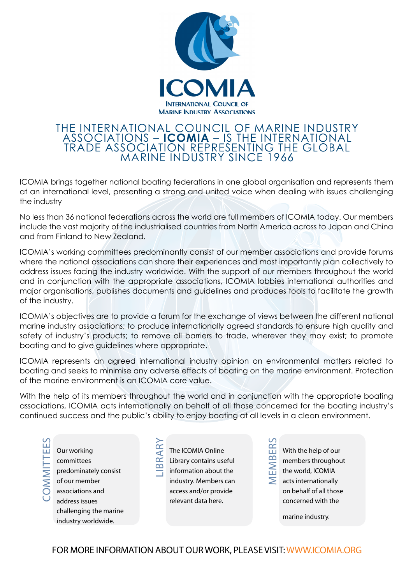

#### The international council of marine industry associations – **icomia** – is the international trade association representing the global marine industry since 1966

ICOMIA brings together national boating federations in one global organisation and represents them at an international level, presenting a strong and united voice when dealing with issues challenging the industry

No less than 36 national federations across the world are full members of ICOMIA today. Our members include the vast majority of the industrialised countries from North America across to Japan and China and from Finland to New Zealand.

ICOMIA's working committees predominantly consist of our member associations and provide forums where the national associations can share their experiences and most importantly plan collectively to address issues facing the industry worldwide. With the support of our members throughout the world and in conjunction with the appropriate associations, ICOMIA lobbies international authorities and major organisations, publishes documents and guidelines and produces tools to facilitate the growth of the industry.

ICOMIA's objectives are to provide a forum for the exchange of views between the different national marine industry associations; to produce internationally agreed standards to ensure high quality and safety of industry's products; to remove all barriers to trade, wherever they may exist; to promote boating and to give guidelines where appropriate.

ICOMIA represents an agreed international industry opinion on environmental matters related to boating and seeks to minimise any adverse effects of boating on the marine environment. Protection of the marine environment is an ICOMIA core value.

With the help of its members throughout the world and in conjunction with the appropriate boating associations, ICOMIA acts internationally on behalf of all those concerned for the boating industry's continued success and the public's ability to enjoy boating at all levels in a clean environment.

- Our working committees predominately consist of our member associations and address issues challenging the marine industry worldwide. Committees
- The ICOMIA Online Library contains useful Libr ary
	- information about the industry. Members can access and/or provide relevant data here.

With the help of our members throughout the world, ICOMIA acts internationally on behalf of all those concerned with the  $\overline{\mathsf{M}}$ mbers

marine industry.

FOR MORE INFORMATION ABOUT OUR WORK, PLEASE VISIT: WWW.ICOMIA.ORG